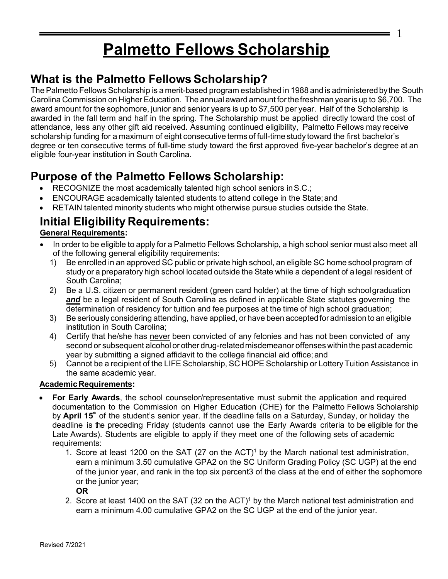# **Palmetto Fellows Scholarship**

1

## **What is the Palmetto Fellows Scholarship?**

The Palmetto Fellows Scholarship is a merit-based program established in 1988 and is administered bythe South Carolina Commission on Higher Education. The annual award amount for the freshman year is up to \$6,700. The award amount for the sophomore, junior and senior years is up to \$7,500 per year. Half of the Scholarship is awarded in the fall term and half in the spring. The Scholarship must be applied directly toward the cost of attendance, less any other gift aid received. Assuming continued eligibility, Palmetto Fellows may receive scholarship funding for a maximum of eight consecutive terms of full-time study toward the first bachelor's degree or ten consecutive terms of full-time study toward the first approved five-year bachelor's degree at an eligible four-year institution in South Carolina.

## **Purpose of the Palmetto Fellows Scholarship:**

- RECOGNIZE the most academically talented high school seniors inS.C.;
- ENCOURAGE academically talented students to attend college in the State;and
- RETAIN talented minority students who might otherwise pursue studies outside the State.

# **Initial Eligibility Requirements:**

#### **General Requirements:**

- In order to be eligible to apply for a Palmetto Fellows Scholarship, a high school senior must also meet all of the following general eligibility requirements:
	- 1) Be enrolled in an approved SC public or private high school, an eligible SC home school program of study or a preparatory high school located outside the State while a dependent of a legal resident of South Carolina;
	- 2) Be a U.S. citizen or permanent resident (green card holder) at the time of high school graduation *and* be a legal resident of South Carolina as defined in applicable State statutes governing the determination of residency for tuition and fee purposes at the time of high school graduation;
	- 3) Be seriously considering attending, have applied, or have been accepted for admission to an eligible institution in South Carolina;
	- 4) Certify that he/she has never been convicted of any felonies and has not been convicted of any second or subsequent alcohol or other drug-related misdemeanor offenses within the past academic year by submitting a signed affidavit to the college financial aid office; and
	- 5) Cannot be a recipient of the LIFE Scholarship, SC HOPE Scholarship or Lottery Tuition Assistance in the same academic year.

#### **Academic Requirements:**

- **For Early Awards**, the school counselor/representative must submit the application and required documentation to the Commission on Higher Education (CHE) for the Palmetto Fellows Scholarship by **April 15<sup>th</sup>** of the student's senior year. If the deadline falls on a Saturday, Sunday, or holiday the deadline is the preceding Friday (students cannot use the Early Awards criteria to be eligible for the Late Awards). Students are eligible to apply if they meet one of the following sets of academic requirements:
	- 1. Score at least 1200 on the SAT (27 on the ACT)<sup>1</sup> by the March national test administration, earn a minimum 3.50 cumulative GPA2 on the SC Uniform Grading Policy (SC UGP) at the end of the junior year, and rank in the top six percent3 of the class at the end of either the sophomore or the junior year;

**OR**

2. Score at least 1400 on the SAT (32 on the ACT) $^{\rm 1}$  by the March national test administration and earn a minimum 4.00 cumulative GPA2 on the SC UGP at the end of the junior year.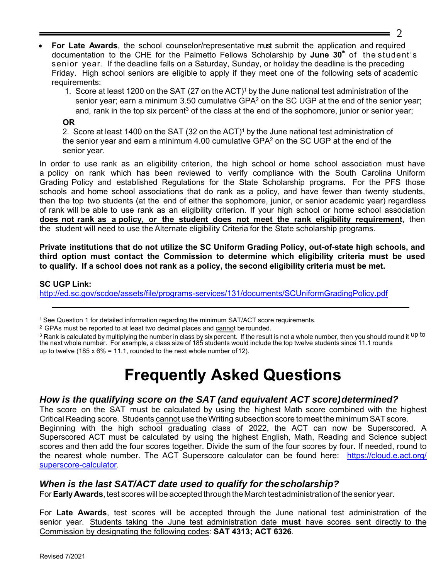- **For Late Awards**, the school counselor/representative must submit the application and required documentation to the CHE for the Palmetto Fellows Scholarship by **June 30**<sup>th</sup> of the student's senior year. If the deadline falls on a Saturday, Sunday, or holiday the deadline is the preceding Friday. High school seniors are eligible to apply if they meet one of the following sets of academic requirements:
	- 1. Score at least 1200 on the SAT (27 on the ACT)<sup>1</sup> by the June national test administration of the senior year; earn a minimum 3.50 cumulative GPA<sup>2</sup> on the SC UGP at the end of the senior year; and, rank in the top six percent $^3$  of the class at the end of the sophomore, junior or senior year;

#### **OR**

2. Score at least 1400 on the SAT (32 on the ACT)<sup>1</sup> by the June national test administration of the senior year and earn a minimum 4.00 cumulative GPA<sup>2</sup> on the SC UGP at the end of the senior year.

In order to use rank as an eligibility criterion, the high school or home school association must have a policy on rank which has been reviewed to verify compliance with the South Carolina Uniform Grading Policy and established Regulations for the State Scholarship programs. For the PFS those schools and home school associations that do rank as a policy, and have fewer than twenty students, then the top two students (at the end of either the sophomore, junior, or senior academic year) regardless of rank will be able to use rank as an eligibility criterion. If your high school or home school association **does not rank as a policy, or the student does not meet the rank eligibility requirement**, then the student will need to use the Alternate eligibility Criteria for the State scholarship programs.

**Private institutions that do not utilize the SC Uniform Grading Policy, out-of-state high schools, and third option must contact the Commission to determine which eligibility criteria must be used to qualify. If a school does not rank as a policy, the second eligibility criteria must be met.**

#### **SC UGP Link:**

<http://ed.sc.gov/scdoe/assets/file/programs-services/131/documents/SCUniformGradingPolicy.pdf>

<sup>2</sup> GPAs must be reported to at least two decimal places and cannot be rounded.

<sup>3</sup> Rank is calculated by multiplying the number in class by six percent. If the result is not a whole number, then you should round it <sup>up to</sup> the next whole number. For example, a class size of 185 students would include the top twelve students since 11.1 rounds up to twelve (185 x  $6\% = 11.1$ , rounded to the next whole number of 12).

# **Frequently Asked Questions**

#### *How is the qualifying score on the SAT (and equivalent ACT score)determined?*

The score on the SAT must be calculated by using the highest Math score combined with the highest Critical Reading score. Students cannot use the Writing subsection score tomeet the minimum SAT score. Beginning with the high school graduating class of 2022, the ACT can now be Superscored. A Superscored ACT must be calculated by using the highest English, Math, Reading and Science subject scores and then add the four scores together. Divide the sum of the four scores by four. If needed, round to the nearest whole number. The ACT Superscore calculator can be found here: https://cloud.e.act.org/ superscore-calculator.

#### *When is the last SAT/ACT date used to qualify for the scholarship?*

For **Early Awards**, test scores will be accepted through the March test administration of the senior year.

For **Late Awards**, test scores will be accepted through the June national test administration of the senior year. Students taking the June test administration date **must** have scores sent directly to the Commission by designating the following codes: **SAT 4313; ACT 6326**.

Revised 7/2021

<sup>1</sup>See Question 1 for detailed information regarding the minimum SAT/ACT score requirements.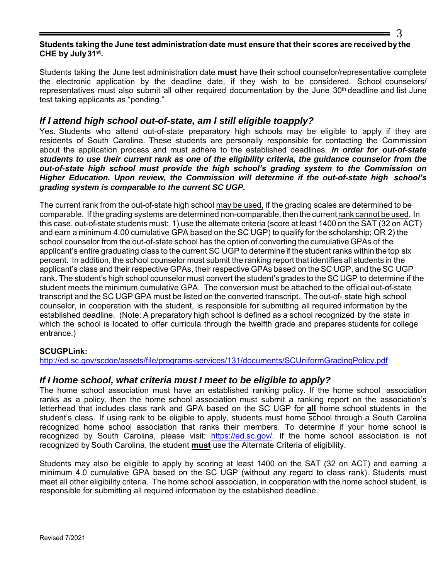#### **Students taking the June test administration date must ensure that their scores are received by the CHE by July 31st .**

Students taking the June test administration date **must** have their school counselor/representative complete the electronic application by the deadline date, if they wish to be considered. School counselors/ representatives must also submit all other required documentation by the June  $30<sup>th</sup>$  deadline and list June test taking applicants as "pending."

#### *If I attend high school out-of-state, am I still eligible to apply?*

Yes. Students who attend out-of-state preparatory high schools may be eligible to apply if they are residents of South Carolina. These students are personally responsible for contacting the Commission about the application process and must adhere to the established deadlines. *In order for out-of-state students to use their current rank as one of the eligibility criteria, the guidance counselor from the out-of-state high school must provide the high school's grading system to the Commission on Higher Education. Upon review, the Commission will determine if the out-of-state high school's grading system is comparable to the current SC UGP.*

The current rank from the out-of-state high school may be used, if the grading scales are determined to be comparable. If the grading systems are determined non-comparable, then the currentrank cannot be used. In this case, out-of-state students must: 1) use the alternate criteria (score at least 1400 on the SAT (32 on ACT) and earn a minimum 4.00 cumulative GPA based on the SC UGP) to qualify for the scholarship; OR 2) the school counselor from the out-of-state school has the option of converting the cumulative GPAs of the applicant's entire graduating class to the current SC UGP to determine if the student ranks within the top six percent. In addition, the school counselor must submit the ranking report that identifies all students in the applicant's class and their respective GPAs, their respective GPAs based on the SC UGP, and the SC UGP rank. The student's high school counselor must convert the student's grades to the SC UGP to determine if the student meets the minimum cumulative GPA. The conversion must be attached to the official out-of-state transcript and the SC UGP GPA must be listed on the converted transcript. The out-of- state high school counselor, in cooperation with the student, is responsible for submitting all required information by the established deadline. (Note: A preparatory high school is defined as a school recognized by the state in which the school is located to offer curricula through the twelfth grade and prepares students for college entrance.)

#### **SCUGPLink:**

<http://ed.sc.gov/scdoe/assets/file/programs-services/131/documents/SCUniformGradingPolicy.pdf>

#### *If I home school, what criteria must I meet to be eligible to apply?*

The home school association must have an established ranking policy. If the home school association ranks as a policy, then the home school association must submit a ranking report on the association's letterhead that includes class rank and GPA based on the SC UGP for **all** home school students in the student's class. If using rank to be eligible to apply, students must home school through a South Carolina recognized home school association that ranks their members. To determine if your home school is recognized by South Carolina, please visit: [https://ed.sc.gov/.](https://ed.sc.gov/) If the home school association is not recognized by South Carolina, the student **must** use the Alternate Criteria of eligibility.

Students may also be eligible to apply by scoring at least 1400 on the SAT (32 on ACT) and earning a minimum 4.0 cumulative GPA based on the SC UGP (without any regard to class rank). Students must meet all other eligibility criteria. The home school association, in cooperation with the home school student, is responsible for submitting all required information by the established deadline.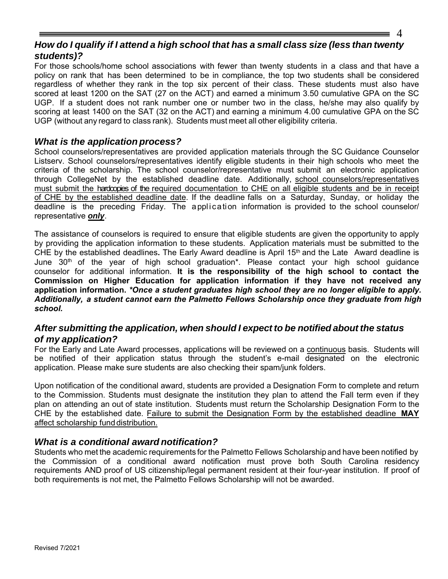## 4

#### *How do I qualify if I attend a high school that has a small class size (less than twenty students)?*

For those schools/home school associations with fewer than twenty students in a class and that have a policy on rank that has been determined to be in compliance, the top two students shall be considered regardless of whether they rank in the top six percent of their class. These students must also have scored at least 1200 on the SAT (27 on the ACT) and earned a minimum 3.50 cumulative GPA on the SC UGP. If a student does not rank number one or number two in the class, he/she may also qualify by scoring at least 1400 on the SAT (32 on the ACT) and earning a minimum 4.00 cumulative GPA on the SC UGP (without any regard to class rank). Students must meet all other eligibility criteria.

#### *What is the application process?*

School counselors/representatives are provided application materials through the SC Guidance Counselor Listserv. School counselors/representatives identify eligible students in their high schools who meet the criteria of the scholarship. The school counselor/representative must submit an electronic application through CollegeNet by the established deadline date. Additionally, school counselors/representatives must submit the hardcopies of the required documentation to CHE on all eligible students and be in receipt of CHE by the established deadline date. If the deadline falls on a Saturday, Sunday, or holiday the deadline is the preceding Friday. The application information is provided to the school counselor/ representative *only*.

The assistance of counselors is required to ensure that eligible students are given the opportunity to apply by providing the application information to these students. Application materials must be submitted to the CHE by the established deadlines**.** The Early Award deadline is April 15th and the Late Award deadline is June 30<sup>th</sup> of the year of high school graduation<sup>\*</sup>. Please contact your high school guidance counselor for additional information. **It is the responsibility of the high school to contact the Commission on Higher Education for application information if they have not received any application information.** *\*Once a student graduates high school they are no longer eligible to apply. Additionally, a student cannot earn the Palmetto Fellows Scholarship once they graduate from high school.*

#### *After submitting the application, when should I expect to be notified about the status of my application?*

For the Early and Late Award processes, applications will be reviewed on a continuous basis. Students will be notified of their application status through the student's e-mail designated on the electronic application. Please make sure students are also checking their spam/junk folders.

Upon notification of the conditional award, students are provided a Designation Form to complete and return to the Commission. Students must designate the institution they plan to attend the Fall term even if they plan on attending an out of state institution. Students must return the Scholarship Designation Form to the CHE by the established date. Failure to submit the Designation Form by the established deadline **MAY**  affect scholarship fund distribution.

## *What is a conditional award notification?*

Students who met the academic requirements for the Palmetto Fellows Scholarship and have been notified by the Commission of a conditional award notification must prove both South Carolina residency requirements AND proof of US citizenship/legal permanent resident at their four-year institution. If proof of both requirements is not met, the Palmetto Fellows Scholarship will not be awarded.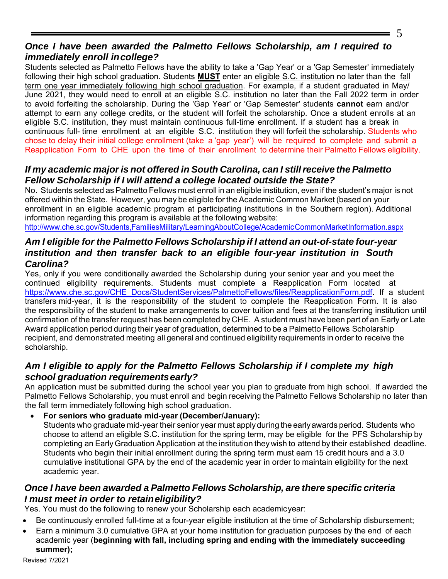## 5

## *Once I have been awarded the Palmetto Fellows Scholarship, am I required to immediately enroll in college?*

Students selected as Palmetto Fellows have the ability to take a 'Gap Year' or a 'Gap Semester' immediately following their high school graduation. Students **MUST** enter an eligible S.C. institution no later than the fall term one year immediately following high school graduation. For example, if a student graduated in May/ June 2021, they would need to enroll at an eligible S.C. institution no later than the Fall 2022 term in order to avoid forfeiting the scholarship. During the 'Gap Year' or 'Gap Semester' students **cannot** earn and/or attempt to earn any college credits, or the student will forfeit the scholarship. Once a student enrolls at an eligible S.C. institution, they must maintain continuous full-time enrollment. If a student has a break in continuous full- time enrollment at an eligible S.C. institution they will forfeit the scholarship. Students who chose to delay their initial college enrollment (take a 'gap year') will be required to complete and submit a Reapplication Form to CHE upon the time of their enrollment to determine their Palmetto Fellows eligibility.

## *If my academic major is not offered in South Carolina, can I still receive the Palmetto Fellow Scholarship if I will attend a college located outside the State?*

No. Students selected as [Palmetto Fellows must enroll in](http://www.che.sc.gov/Students%2CFamiliesMilitary/LearningAboutCollege/AcademicCommonMarketInformation.aspx) an eligible institution, even if the student's major is not of[fered within th](http://www.che.sc.gov/Students%2CFamiliesMilitary/LearningAboutCollege/AcademicCommonMarketInformation.aspx)e State. However, you may be eligible for the Academic Common Market (based on your enrollment in an eligible academic program at participating institutions in the Southern region). Additional information regarding this program is available at the following website:

http://www.che.sc.gov/Students,FamiliesMilitary/LearningAboutCollege/AcademicCommonMarketInformation.aspx

## *Am I eligible for the Palmetto Fellows Scholarship if I attend an out-of-state four-year institution and then transfer back to an eligible four-year institution in South Carolina?*

Yes, only if [you were conditionally awarded the Scholarship during your senior yea](http://www.che.sc.gov/StudentServices/PalmettoFellows/files/ReapplicationForm.pdf)r and you meet the continued eligibility requirements. Students must complete a Reapplication Form located at https://www.che.sc.gov/CHE\_Docs/StudentServices/PalmettoFellows/files/ReapplicationForm.pdf. If a student transfers mid-year, it is the responsibility of the student to complete the Reapplication Form. It is also the responsibility of the student to make arrangements to cover tuition and fees at the transferring institution until confirmation of the transfer request has been completed by CHE. A student must have been part of an Early or Late Award application period during their year of graduation, determined to be a Palmetto Fellows Scholarship recipient, and demonstrated meeting all general and continued eligibility requirements in order to receive the scholarship.

## *Am I eligible to apply for the Palmetto Fellows Scholarship if I complete my high school graduation requirements early?*

An application must be submitted during the school year you plan to graduate from high school. If awarded the Palmetto Fellows Scholarship, you must enroll and begin receiving the Palmetto Fellows Scholarship no later than the fall term immediately following high school graduation.

• **For seniors who graduate mid-year (December/January):**

Students who graduate mid-year their senior year must apply during the early awards period. Students who choose to attend an eligible S.C. institution for the spring term, may be eligible for the PFS Scholarship by completing an Early Graduation Application at the institution they wish to attend by their established deadline. Students who begin their initial enrollment during the spring term must earn 15 credit hours and a 3.0 cumulative institutional GPA by the end of the academic year in order to maintain eligibility for the next academic year.

## *Once I have been awarded a Palmetto Fellows Scholarship, are there specific criteria I must meet in order to retain eligibility?*

Yes. You must do the following to renew your Scholarship each academic year:

- Be continuously enrolled full-time at a four-year eligible institution at the time of Scholarship disbursement;
- Earn a minimum 3.0 cumulative GPA at your home institution for graduation purposes by the end of each academic year (**beginning with fall, including spring and ending with the immediately succeeding summer);**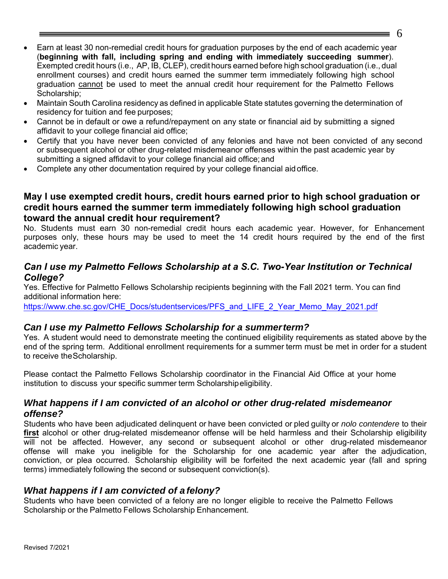- Earn at least 30 non-remedial credit hours for graduation purposes by the end of each academic year (**beginning with fall, including spring and ending with immediately succeeding summer**). Exempted credit hours (i.e., AP, IB, CLEP), credit hours earned before high school graduation (i.e., dual enrollment courses) and credit hours earned the summer term immediately following high school graduation cannot be used to meet the annual credit hour requirement for the Palmetto Fellows Scholarship;
- Maintain South Carolina residency as defined in applicable State statutes governing the determination of residency for tuition and fee purposes;
- Cannot be in default or owe a refund/repayment on any state or financial aid by submitting a signed affidavit to your college financial aid office;
- Certify that you have never been convicted of any felonies and have not been convicted of any second or subsequent alcohol or other drug-related misdemeanor offenses within the past academic year by submitting a signed affidavit to your college financial aid office; and
- Complete any other documentation required by your college financial aid office.

#### **May I use exempted credit hours, credit hours earned prior to high school graduation or credit hours earned the summer term immediately following high school graduation toward the annual credit hour requirement?**

No. Students must earn 30 non-remedial credit hours each academic year. However, for Enhancement purposes only, these hours may be used to meet the 14 credit hours required by the end of the first academic year.

#### *Can I use my Palmetto Fellows Scholarship at a S.C. Two-Year Institution or Technical College?*

Yes. Effective for Palmetto Fellows Scholarship recipients beginning with the Fall 2021 term. You can find additional information here:

https://www.che.sc.gov/CHE\_Docs/studentservices/PFS\_and\_LIFE\_2\_Year\_Memo\_May\_2021.pdf

#### *Can I use my Palmetto Fellows Scholarship for a summerterm?*

Yes. A student would need to demonstrate meeting the continued eligibility requirements as stated above by the end of the spring term. Additional enrollment requirements for a summer term must be met in order for a student to receive the Scholarship.

Please contact the Palmetto Fellows Scholarship coordinator in the Financial Aid Office at your home institution to discuss your specific summer term Scholarshipeligibility.

#### *What happens if I am convicted of an alcohol or other drug-related misdemeanor offense?*

Students who have been adjudicated delinquent or have been convicted or pled guilty or *nolo contendere* to their **first** alcohol or other drug-related misdemeanor offense will be held harmless and their Scholarship eligibility will not be affected. However, any second or subsequent alcohol or other drug-related misdemeanor offense will make you ineligible for the Scholarship for one academic year after the adjudication, conviction, or plea occurred. Scholarship eligibility will be forfeited the next academic year (fall and spring terms) immediately following the second or subsequent conviction(s).

#### *What happens if I am convicted of a felony?*

Students who have been convicted of a felony are no longer eligible to receive the Palmetto Fellows Scholarship or the Palmetto Fellows Scholarship Enhancement.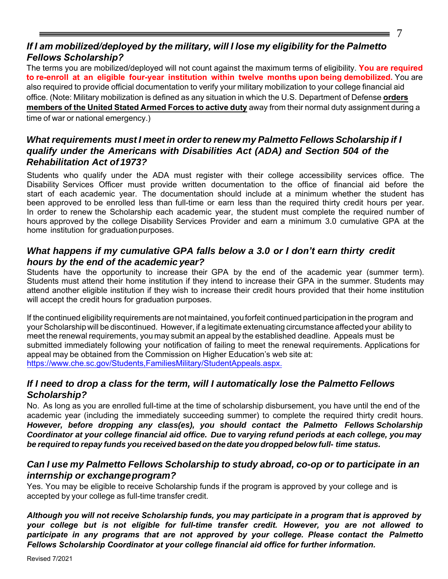## 7

## *If I am mobilized/deployed by the military, will I lose my eligibility for the Palmetto Fellows Scholarship?*

The terms you are mobilized/deployed will not count against the maximum terms of eligibility. **You are required to re-enroll at an eligible four-year institution within twelve months upon being demobilized.** You are also required to provide official documentation to verify your military mobilization to your college financial aid office. (Note: Military mobilization is defined as any situation in which the U.S. Department of Defense **orders members of the United Stated Armed Forces to active duty** away from their normal duty assignment during a time of war or national emergency.)

## *What requirements must I meet in order to renew my Palmetto Fellows Scholarship if I qualify under the Americans with Disabilities Act (ADA) and Section 504 of the Rehabilitation Act of 1973?*

Students who qualify under the ADA must register with their college accessibility services office. The Disability Services Officer must provide written documentation to the office of financial aid before the start of each academic year. The documentation should include at a minimum whether the student has been approved to be enrolled less than full-time or earn less than the required thirty credit hours per year. In order to renew the Scholarship each academic year, the student must complete the required number of hours approved by the college Disability Services Provider and earn a minimum 3.0 cumulative GPA at the home institution for graduation purposes.

## *What happens if my cumulative GPA falls below a 3.0 or I don't earn thirty credit hours by the end of the academic year?*

Students have the opportunity to increase their GPA by the end of the academic year (summer term). Students must attend their home institution if they intend to increase their GPA in the summer. Students may attend another eligible institution if they wish to increase their credit hours provided that their home institution will accept the credit hours for graduation purposes.

If the continued eligibility requirements are not maintained, you forfeit continued participation in the program and your Scholarship will be discontinued. However, if a legitimate extenuating circumstance affected your ability to meet the renewal requirements, you may submit an appeal by the established deadline. Appeals must be submitted immediately following your notification of failing to meet the renewal requirements. Applications for appeal may be obtained from the Commission on Higher Education's web site at: https://www.che.sc.gov/Students,FamiliesMilitary/StudentAppeals.aspx.

## *If I [need to drop a class for the term, will I automatic](http://www.che.sc.gov/StudentServices/Appeals/AppealsHm.htm)ally lose the Palmetto Fellows Scholarship?*

No. As long as you are enrolled full-time at the time of scholarship disbursement, you have until the end of the academic year (including the immediately succeeding summer) to complete the required thirty credit hours. *However, before dropping any class(es), you should contact the Palmetto Fellows Scholarship Coordinator at your college financial aid office. Due to varying refund periods at each college, you may be required to repay funds you received based on the date you dropped below full- time status.*

## *Can I use my Palmetto Fellows Scholarship to study abroad, co-op or to participate in an internship or exchange program?*

Yes. You may be eligible to receive Scholarship funds if the program is approved by your college and is accepted by your college as full-time transfer credit.

*Although you will not receive Scholarship funds, you may participate in a program that is approved by your college but is not eligible for full-time transfer credit. However, you are not allowed to participate in any programs that are not approved by your college. Please contact the Palmetto Fellows Scholarship Coordinator at your college financial aid office for further information.*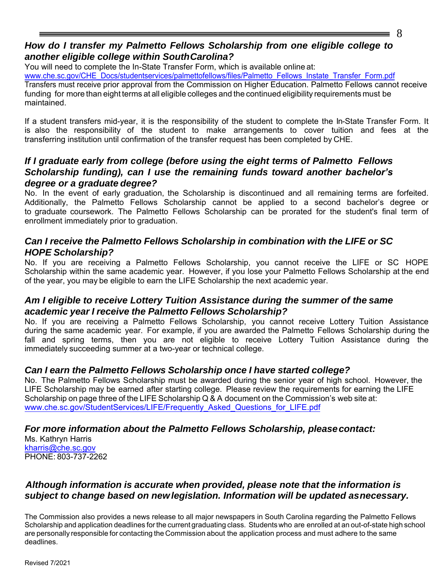## *How do I transfer my Palmetto Fellows Scholarship from one eligible college to another eligible college within South Carolina?*

You will need to complete the In-State Transfer Form, which is available online at:

ww[w.che.sc.gov/CHE\\_Docs/studentservices/palmettofellows/files/Palmetto\\_Fellows\\_Inst](https://www.che.sc.gov/CHE_Docs/studentservices/palmettofellows/files/Palmetto_Fellows_Instate_Transfer_Form.pdf)ate\_Transfer\_Form.pdf

Transfers must receive prior approval from the Commission on Higher Education. Palmetto Fellows cannot receive funding for more than eight terms at all eligible colleges and the continued eligibility requirements must be maintained.

If a student transfers mid-year, it is the responsibility of the student to complete the In-State Transfer Form. It is also the responsibility of the student to make arrangements to cover tuition and fees at the transferring institution until confirmation of the transfer request has been completed by CHE.

#### *If I graduate early from college (before using the eight terms of Palmetto Fellows Scholarship funding), can I use the remaining funds toward another bachelor's degree or a graduate degree?*

No. In the event of early graduation, the Scholarship is discontinued and all remaining terms are forfeited. Additionally, the Palmetto Fellows Scholarship cannot be applied to a second bachelor's degree or to graduate coursework. The Palmetto Fellows Scholarship can be prorated for the student's final term of enrollment immediately prior to graduation.

#### *Can I receive the Palmetto Fellows Scholarship in combination with the LIFE or SC HOPE Scholarship?*

No. If you are receiving a Palmetto Fellows Scholarship, you cannot receive the LIFE or SC HOPE Scholarship within the same academic year. However, if you lose your Palmetto Fellows Scholarship at the end of the year, you may be eligible to earn the LIFE Scholarship the next academic year.

#### *Am I eligible to receive Lottery Tuition Assistance during the summer of the same academic year I receive the Palmetto Fellows Scholarship?*

No. If you are receiving a Palmetto Fellows Scholarship, you cannot receive Lottery Tuition Assistance during the same academic year. For example, if you are awarded the Palmetto Fellows Scholarship during the fall and spring terms, then you are not eligible to receive Lottery Tuition Assistance during the immediately succeeding summer at a two-year or technical college.

#### *Can I earn the Palmetto Fellows Scholarship once I have started college?*

No. The Palmetto Fellows Scholarship must be awarded during the senior year of high school. However, the LIFE Scholarship may be earned after starting college. Please review the requirements for earning the LIFE Scholarship on page three of the LIFE Scholarship Q & A document on the Commission's web site at: [www.che.sc.gov/StudentServices/LIFE/Frequently\\_Asked\\_Questions\\_for\\_LIFE.pdf](http://www.che.sc.gov/StudentServices/LIFE/Frequently_Asked_Questions_for_LIFE.pdf)

#### *For more information about the Palmetto Fellows Scholarship, please contact:*

Ms. Kathryn Harris [kharris@che.sc.gov](mailto:tweigold@che.sc.gov) PHONE: 803-737-2262

#### *Although information is accurate when provided, please note that the information is subject to change based on new legislation. Information will be updated asnecessary.*

The Commission also provides a news release to all major newspapers in South Carolina regarding the Palmetto Fellows Scholarship and application deadlines for the current graduating class. Students who are enrolled at an out-of-state high school are personally responsible for contacting the Commission about the application process and must adhere to the same deadlines.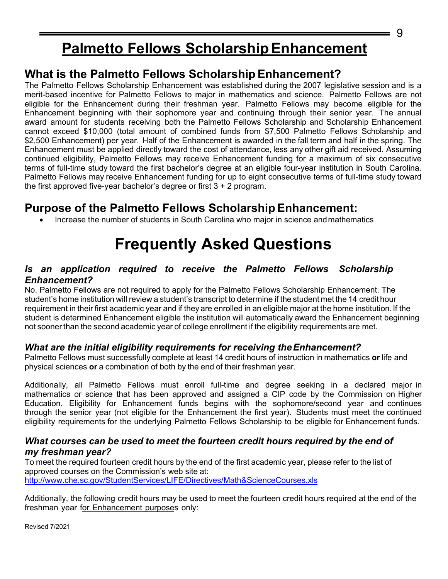# **Palmetto Fellows ScholarshipEnhancement**

## **What is the Palmetto Fellows Scholarship Enhancement?**

The Palmetto Fellows Scholarship Enhancement was established during the 2007 legislative session and is a merit-based incentive for Palmetto Fellows to major in mathematics and science. Palmetto Fellows are not eligible for the Enhancement during their freshman year. Palmetto Fellows may become eligible for the Enhancement beginning with their sophomore year and continuing through their senior year. The annual award amount for students receiving both the Palmetto Fellows Scholarship and Scholarship Enhancement cannot exceed \$10,000 (total amount of combined funds from \$7,500 Palmetto Fellows Scholarship and \$2,500 Enhancement) per year. Half of the Enhancement is awarded in the fall term and half in the spring. The Enhancement must be applied directly toward the cost of attendance, less any other gift aid received. Assuming continued eligibility, Palmetto Fellows may receive Enhancement funding for a maximum of six consecutive terms of full-time study toward the first bachelor's degree at an eligible four-year institution in South Carolina. Palmetto Fellows may receive Enhancement funding for up to eight consecutive terms of full-time study toward the first approved five-year bachelor's degree or first 3 + 2 program.

## **Purpose of the Palmetto Fellows Scholarship Enhancement:**

• Increase the number of students in South Carolina who major in science andmathematics

# **Frequently Asked Questions**

#### *Is an application required to receive the Palmetto Fellows Scholarship Enhancement?*

No. Palmetto Fellows are not required to apply for the Palmetto Fellows Scholarship Enhancement. The student's home institution will review a student's transcript to determine if the student met the 14 credit hour requirement in their first academic year and if they are enrolled in an eligible major at the home institution. If the student is determined Enhancement eligible the institution will automatically award the Enhancement beginning not sooner than the second academic year of college enrollment if the eligibility requirements are met.

#### *What are the initial eligibility requirements for receiving the Enhancement?*

Palmetto Fellows must successfully complete at least 14 credit hours of instruction in mathematics **or** life and physical sciences **or** a combination of both by the end of their freshman year.

Additionally, all Palmetto Fellows must enroll full-time and degree seeking in a declared major in mathematics or science that has been approved and assigned a CIP code by the Commission on Higher Education. Eligibility for Enhancement funds begins with the sophomore/second year and continues through the senior year (not eligible for the Enhancement the first year). Students must meet the continued eligibility requirements for the underlying Palmetto Fellows Scholarship to be eligible for Enhancement funds.

#### *What courses can be used to meet the fourteen credit hours required by the end of my freshman year?*

To meet the required fourteen credit hours by the end of the first academic year, please refer to the list of approved courses on the Commission's web site at: http://www.che.sc.gov/StudentServices/LIFE/Directives/Math&ScienceCourses.xls

Ad[ditionally, the following credit hours may be](http://www.che.sc.gov/StudentServices/LIFE/Directives/Math%26ScienceCourses.xls) used to meet the fourteen credit hours required at the end of the freshman year for Enhancement purposes only:

Revised 7/2021

9